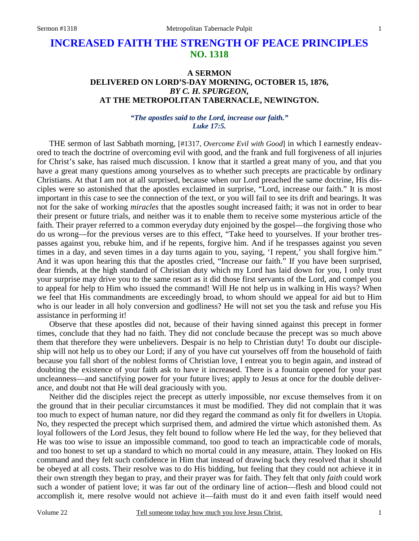# **INCREASED FAITH THE STRENGTH OF PEACE PRINCIPLES NO. 1318**

# **A SERMON DELIVERED ON LORD'S-DAY MORNING, OCTOBER 15, 1876,**  *BY C. H. SPURGEON,*  **AT THE METROPOLITAN TABERNACLE, NEWINGTON.**

### *"The apostles said to the Lord, increase our faith." Luke 17:5.*

THE sermon of last Sabbath morning, [#1317, *Overcome Evil with Good*] in which I earnestly endeavored to teach the doctrine of overcoming evil with good, and the frank and full forgiveness of all injuries for Christ's sake, has raised much discussion. I know that it startled a great many of you, and that you have a great many questions among yourselves as to whether such precepts are practicable by ordinary Christians. At that I am not at all surprised, because when our Lord preached the same doctrine, His disciples were so astonished that the apostles exclaimed in surprise, "Lord, increase our faith." It is most important in this case to see the connection of the text, or you will fail to see its drift and bearings. It was not for the sake of working *miracles* that the apostles sought increased faith; it was not in order to bear their present or future trials, and neither was it to enable them to receive some mysterious article of the faith. Their prayer referred to a common everyday duty enjoined by the gospel—the forgiving those who do us wrong—for the previous verses are to this effect, "Take heed to yourselves. If your brother trespasses against you, rebuke him, and if he repents, forgive him. And if he trespasses against you seven times in a day, and seven times in a day turns again to you, saying, 'I repent,' you shall forgive him." And it was upon hearing this that the apostles cried, "Increase our faith." If you have been surprised, dear friends, at the high standard of Christian duty which my Lord has laid down for you, I only trust your surprise may drive you to the same resort as it did those first servants of the Lord, and compel you to appeal for help to Him who issued the command! Will He not help us in walking in His ways? When we feel that His commandments are exceedingly broad, to whom should we appeal for aid but to Him who is our leader in all holy conversion and godliness? He will not set you the task and refuse you His assistance in performing it!

 Observe that these apostles did not, because of their having sinned against this precept in former times, conclude that they had no faith. They did not conclude because the precept was so much above them that therefore they were unbelievers. Despair is no help to Christian duty! To doubt our discipleship will not help us to obey our Lord; if any of you have cut yourselves off from the household of faith because you fall short of the noblest forms of Christian love, I entreat you to begin again, and instead of doubting the existence of your faith ask to have it increased. There is a fountain opened for your past uncleanness—and sanctifying power for your future lives; apply to Jesus at once for the double deliverance, and doubt not that He will deal graciously with you.

 Neither did the disciples reject the precept as utterly impossible, nor excuse themselves from it on the ground that in their peculiar circumstances it must be modified. They did not complain that it was too much to expect of human nature, nor did they regard the command as only fit for dwellers in Utopia. No, they respected the precept which surprised them, and admired the virtue which astonished them. As loyal followers of the Lord Jesus, they felt bound to follow where He led the way, for they believed that He was too wise to issue an impossible command, too good to teach an impracticable code of morals, and too honest to set up a standard to which no mortal could in any measure, attain. They looked on His command and they felt such confidence in Him that instead of drawing back they resolved that it should be obeyed at all costs. Their resolve was to do His bidding, but feeling that they could not achieve it in their own strength they began to pray, and their prayer was for faith. They felt that only *faith* could work such a wonder of patient love; it was far out of the ordinary line of action—flesh and blood could not accomplish it, mere resolve would not achieve it—faith must do it and even faith itself would need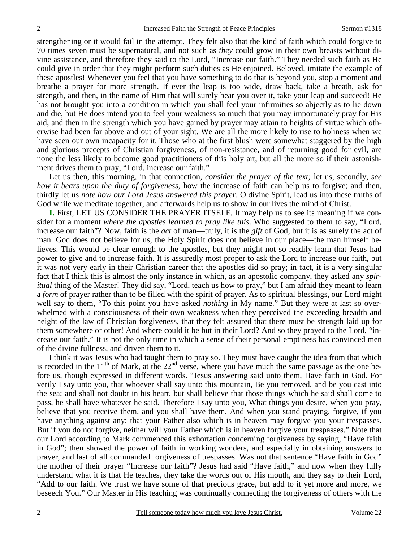strengthening or it would fail in the attempt. They felt also that the kind of faith which could forgive to 70 times seven must be supernatural, and not such as *they* could grow in their own breasts without divine assistance, and therefore they said to the Lord, "Increase our faith." They needed such faith as He could give in order that they might perform such duties as He enjoined. Beloved, imitate the example of these apostles! Whenever you feel that you have something to do that is beyond you, stop a moment and breathe a prayer for more strength. If ever the leap is too wide, draw back, take a breath, ask for strength, and then, in the name of Him that will surely bear you over it, take your leap and succeed! He has not brought you into a condition in which you shall feel your infirmities so abjectly as to lie down and die, but He does intend you to feel your weakness so much that you may importunately pray for His aid, and then in the strength which you have gained by prayer may attain to heights of virtue which otherwise had been far above and out of your sight. We are all the more likely to rise to holiness when we have seen our own incapacity for it. Those who at the first blush were somewhat staggered by the high and glorious precepts of Christian forgiveness, of non-resistance, and of returning good for evil, are none the less likely to become good practitioners of this holy art, but all the more so if their astonishment drives them to pray, "Lord, increase our faith."

 Let us then, this morning, in that connection, *consider the prayer of the text;* let us, secondly, *see how it bears upon the duty of forgiveness*, how the increase of faith can help us to forgive; and then, thirdly let us *note how our Lord Jesus answered this prayer*. O divine Spirit, lead us into these truths of God while we meditate together, and afterwards help us to show in our lives the mind of Christ.

**I.** First, LET US CONSIDER THE PRAYER ITSELF. It may help us to see its meaning if we consider for a moment *where the apostles learned to pray like this*. Who suggested to them to say, "Lord, increase our faith"? Now, faith is the *act* of man—truly, it is the *gift* of God, but it is as surely the act of man. God does not believe for us, the Holy Spirit does not believe in our place—the man himself believes. This would be clear enough to the apostles, but they might not so readily learn that Jesus had power to give and to increase faith. It is assuredly most proper to ask the Lord to increase our faith, but it was not very early in their Christian career that the apostles did so pray; in fact, it is a very singular fact that I think this is almost the only instance in which, as an apostolic company, they asked any *spiritual* thing of the Master! They did say, "Lord, teach us how to pray," but I am afraid they meant to learn a *form* of prayer rather than to be filled with the spirit of prayer. As to spiritual blessings, our Lord might well say to them, "To this point you have asked *nothing* in My name." But they were at last so overwhelmed with a consciousness of their own weakness when they perceived the exceeding breadth and height of the law of Christian forgiveness, that they felt assured that there must be strength laid up for them somewhere or other! And where could it be but in their Lord? And so they prayed to the Lord, "increase our faith." It is not the only time in which a sense of their personal emptiness has convinced men of the divine fullness, and driven them to it.

 I think it was Jesus who had taught them to pray so. They must have caught the idea from that which is recorded in the  $11<sup>th</sup>$  of Mark, at the  $22<sup>nd</sup>$  verse, where you have much the same passage as the one before us, though expressed in different words. "Jesus answering said unto them, Have faith in God. For verily I say unto you, that whoever shall say unto this mountain, Be you removed, and be you cast into the sea; and shall not doubt in his heart, but shall believe that those things which he said shall come to pass, he shall have whatever he said. Therefore I say unto you, What things you desire, when you pray, believe that you receive them, and you shall have them. And when you stand praying, forgive, if you have anything against any: that your Father also which is in heaven may forgive you your trespasses. But if you do not forgive, neither will your Father which is in heaven forgive your trespasses." Note that our Lord according to Mark commenced this exhortation concerning forgiveness by saying, "Have faith in God"; then showed the power of faith in working wonders, and especially in obtaining answers to prayer, and last of all commanded forgiveness of trespasses. Was not that sentence "Have faith in God" the mother of their prayer "Increase our faith"? Jesus had said "Have faith," and now when they fully understand what it is that He teaches, they take the words out of His mouth, and they say to their Lord, "Add to our faith. We trust we have some of that precious grace, but add to it yet more and more, we beseech You." Our Master in His teaching was continually connecting the forgiveness of others with the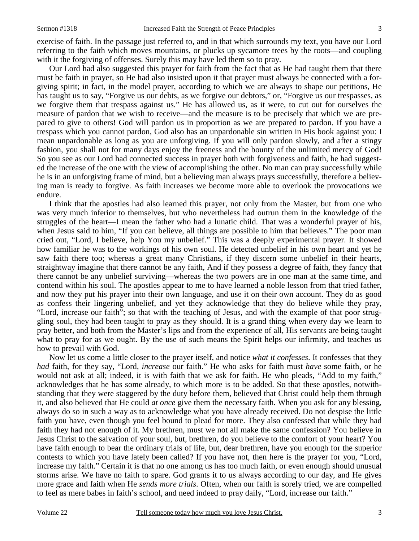exercise of faith. In the passage just referred to, and in that which surrounds my text, you have our Lord referring to the faith which moves mountains, or plucks up sycamore trees by the roots—and coupling with it the forgiving of offenses. Surely this may have led them so to pray.

 Our Lord had also suggested this prayer for faith from the fact that as He had taught them that there must be faith in prayer, so He had also insisted upon it that prayer must always be connected with a forgiving spirit; in fact, in the model prayer, according to which we are always to shape our petitions, He has taught us to say, "Forgive us our debts, as we forgive our debtors," or, "Forgive us our trespasses, as we forgive them that trespass against us." He has allowed us, as it were, to cut out for ourselves the measure of pardon that we wish to receive—and the measure is to be precisely that which we are prepared to give to others! God will pardon us in proportion as we are prepared to pardon. If you have a trespass which you cannot pardon, God also has an unpardonable sin written in His book against you: I mean unpardonable as long as you are unforgiving. If you will only pardon slowly, and after a stingy fashion, you shall not for many days enjoy the freeness and the bounty of the unlimited mercy of God! So you see as our Lord had connected success in prayer both with forgiveness and faith, he had suggested the increase of the one with the view of accomplishing the other. No man can pray successfully while he is in an unforgiving frame of mind, but a believing man always prays successfully, therefore a believing man is ready to forgive. As faith increases we become more able to overlook the provocations we endure.

 I think that the apostles had also learned this prayer, not only from the Master, but from one who was very much inferior to themselves, but who nevertheless had outrun them in the knowledge of the struggles of the heart—I mean the father who had a lunatic child. That was a wonderful prayer of his, when Jesus said to him, "If you can believe, all things are possible to him that believes." The poor man cried out, "Lord, I believe, help You my unbelief." This was a deeply experimental prayer. It showed how familiar he was to the workings of his own soul. He detected unbelief in his own heart and yet he saw faith there too; whereas a great many Christians, if they discern some unbelief in their hearts, straightway imagine that there cannot be any faith, And if they possess a degree of faith, they fancy that there cannot be any unbelief surviving—whereas the two powers are in one man at the same time, and contend within his soul. The apostles appear to me to have learned a noble lesson from that tried father, and now they put his prayer into their own language, and use it on their own account. They do as good as confess their lingering unbelief, and yet they acknowledge that they do believe while they pray, "Lord, increase our faith"; so that with the teaching of Jesus, and with the example of that poor struggling soul, they had been taught to pray as they should. It is a grand thing when every day we learn to pray better, and both from the Master's lips and from the experience of all, His servants are being taught what to pray for as we ought. By the use of such means the Spirit helps our infirmity, and teaches us how to prevail with God.

 Now let us come a little closer to the prayer itself, and notice *what it confesses*. It confesses that they *had* faith, for they say, "Lord, *increase* our faith." He who asks for faith must *have* some faith, or he would not ask at all; indeed, it is with faith that we ask for faith. He who pleads, "Add to my faith," acknowledges that he has some already, to which more is to be added. So that these apostles, notwithstanding that they were staggered by the duty before them, believed that Christ could help them through it, and also believed that He could *at once* give them the necessary faith. When you ask for any blessing, always do so in such a way as to acknowledge what you have already received. Do not despise the little faith you have, even though you feel bound to plead for more. They also confessed that while they had faith they had not enough of it. My brethren, must we not all make the same confession? You believe in Jesus Christ to the salvation of your soul, but, brethren, do you believe to the comfort of your heart? You have faith enough to bear the ordinary trials of life, but, dear brethren, have you enough for the superior contests to which you have lately been called? If you have not, then here is the prayer for you, "Lord, increase my faith." Certain it is that no one among us has too much faith, or even enough should unusual storms arise. We have no faith to spare. God grants it to us always according to our day, and He gives more grace and faith when He *sends more trials*. Often, when our faith is sorely tried, we are compelled to feel as mere babes in faith's school, and need indeed to pray daily, "Lord, increase our faith."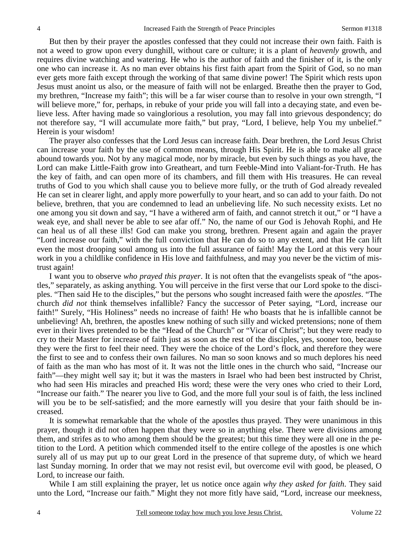But then by their prayer the apostles confessed that they could not increase their own faith. Faith is not a weed to grow upon every dunghill, without care or culture; it is a plant of *heavenly* growth, and requires divine watching and watering. He who is the author of faith and the finisher of it, is the only one who can increase it. As no man ever obtains his first faith apart from the Spirit of God, so no man ever gets more faith except through the working of that same divine power! The Spirit which rests upon Jesus must anoint us also, or the measure of faith will not be enlarged. Breathe then the prayer to God, my brethren, "Increase my faith"; this will be a far wiser course than to resolve in your own strength, "I will believe more," for, perhaps, in rebuke of your pride you will fall into a decaying state, and even believe less. After having made so vainglorious a resolution, you may fall into grievous despondency; do not therefore say, "I will accumulate more faith," but pray, "Lord, I believe, help You my unbelief." Herein is your wisdom!

 The prayer also confesses that the Lord Jesus can increase faith. Dear brethren, the Lord Jesus Christ can increase your faith by the use of common means, through His Spirit. He is able to make all grace abound towards you. Not by any magical mode, nor by miracle, but even by such things as you have, the Lord can make Little-Faith grow into Greatheart, and turn Feeble-Mind into Valiant-for-Truth. He has the key of faith, and can open more of its chambers, and fill them with His treasures. He can reveal truths of God to you which shall cause you to believe more fully, or the truth of God already revealed He can set in clearer light, and apply more powerfully to your heart, and so can add to your faith. Do not believe, brethren, that you are condemned to lead an unbelieving life. No such necessity exists. Let no one among you sit down and say, "I have a withered arm of faith, and cannot stretch it out," or "I have a weak eye, and shall never be able to see afar off." No, the name of our God is Jehovah Rophi, and He can heal us of all these ills! God can make you strong, brethren. Present again and again the prayer "Lord increase our faith," with the full conviction that He can do so to any extent, and that He can lift even the most drooping soul among us into the full assurance of faith! May the Lord at this very hour work in you a childlike confidence in His love and faithfulness, and may you never be the victim of mistrust again!

 I want you to observe *who prayed this prayer*. It is not often that the evangelists speak of "the apostles," separately, as asking anything. You will perceive in the first verse that our Lord spoke to the disciples. "Then said He to the disciples," but the persons who sought increased faith were the *apostles*. "The church *did not* think themselves infallible? Fancy the successor of Peter saying, "Lord, increase our faith!" Surely, "His Holiness" needs no increase of faith! He who boasts that he is infallible cannot be unbelieving! Ah, brethren, the apostles knew nothing of such silly and wicked pretensions; none of them ever in their lives pretended to be the "Head of the Church" or "Vicar of Christ"; but they were ready to cry to their Master for increase of faith just as soon as the rest of the disciples, yes, sooner too, because they were the first to feel their need. They were the choice of the Lord's flock, and therefore they were the first to see and to confess their own failures. No man so soon knows and so much deplores his need of faith as the man who has most of it. It was not the little ones in the church who said, "Increase our faith"—they might well say it; but it was the masters in Israel who had been best instructed by Christ, who had seen His miracles and preached His word; these were the very ones who cried to their Lord, "Increase our faith." The nearer you live to God, and the more full your soul is of faith, the less inclined will you be to be self-satisfied; and the more earnestly will you desire that your faith should be increased.

 It is somewhat remarkable that the whole of the apostles thus prayed. They were unanimous in this prayer, though it did not often happen that they were so in anything else. There were divisions among them, and strifes as to who among them should be the greatest; but this time they were all one in the petition to the Lord. A petition which commended itself to the entire college of the apostles is one which surely all of us may put up to our great Lord in the presence of that supreme duty, of which we heard last Sunday morning. In order that we may not resist evil, but overcome evil with good, be pleased, O Lord, to increase our faith.

 While I am still explaining the prayer, let us notice once again *why they asked for faith*. They said unto the Lord, "Increase our faith." Might they not more fitly have said, "Lord, increase our meekness,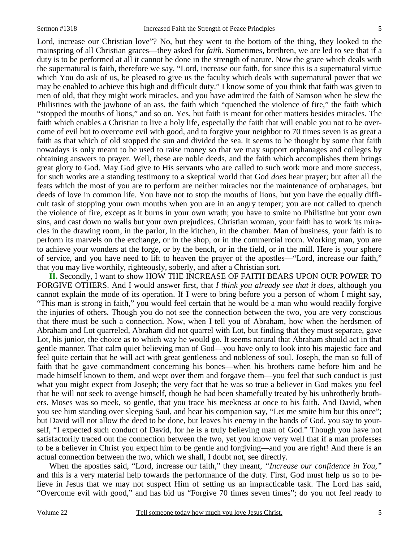Lord, increase our Christian love"? No, but they went to the bottom of the thing, they looked to the mainspring of all Christian graces—they asked for *faith*. Sometimes, brethren, we are led to see that if a duty is to be performed at all it cannot be done in the strength of nature. Now the grace which deals with the supernatural is faith, therefore we say, "Lord, increase our faith, for since this is a supernatural virtue which You do ask of us, be pleased to give us the faculty which deals with supernatural power that we may be enabled to achieve this high and difficult duty." I know some of you think that faith was given to men of old, that they might work miracles, and you have admired the faith of Samson when he slew the Philistines with the jawbone of an ass, the faith which "quenched the violence of fire," the faith which "stopped the mouths of lions," and so on. Yes, but faith is meant for other matters besides miracles. The faith which enables a Christian to live a holy life, especially the faith that will enable you not to be overcome of evil but to overcome evil with good, and to forgive your neighbor to 70 times seven is as great a faith as that which of old stopped the sun and divided the sea. It seems to be thought by some that faith nowadays is only meant to be used to raise money so that we may support orphanages and colleges by obtaining answers to prayer. Well, these are noble deeds, and the faith which accomplishes them brings great glory to God. May God give to His servants who are called to such work more and more success, for such works are a standing testimony to a skeptical world that God *does* hear prayer; but after all the feats which the most of you are to perform are neither miracles nor the maintenance of orphanages, but deeds of love in common life. You have not to stop the mouths of lions, but you have the equally difficult task of stopping your own mouths when you are in an angry temper; you are not called to quench the violence of fire, except as it burns in your own wrath; you have to smite no Philistine but your own sins, and cast down no walls but your own prejudices. Christian woman, your faith has to work its miracles in the drawing room, in the parlor, in the kitchen, in the chamber. Man of business, your faith is to perform its marvels on the exchange, or in the shop, or in the commercial room. Working man, you are to achieve your wonders at the forge, or by the bench, or in the field, or in the mill. Here is your sphere of service, and you have need to lift to heaven the prayer of the apostles—"Lord, increase our faith," that you may live worthily, righteously, soberly, and after a Christian sort.

**II.** Secondly, I want to show HOW THE INCREASE OF FAITH BEARS UPON OUR POWER TO FORGIVE OTHERS. And I would answer first, that *I think you already see that it does*, although you cannot explain the mode of its operation. If I were to bring before you a person of whom I might say, "This man is strong in faith," you would feel certain that he would be a man who would readily forgive the injuries of others. Though you do not see the connection between the two, you are very conscious that there must be such a connection. Now, when I tell you of Abraham, how when the herdsmen of Abraham and Lot quarreled, Abraham did not quarrel with Lot, but finding that they must separate, gave Lot, his junior, the choice as to which way he would go. It seems natural that Abraham should act in that gentle manner. That calm quiet believing man of God—you have only to look into his majestic face and feel quite certain that he will act with great gentleness and nobleness of soul. Joseph, the man so full of faith that he gave commandment concerning his bones—when his brothers came before him and he made himself known to them, and wept over them and forgave them—you feel that such conduct is just what you might expect from Joseph; the very fact that he was so true a believer in God makes you feel that he will not seek to avenge himself, though he had been shamefully treated by his unbrotherly brothers. Moses was so meek, so gentle, that you trace his meekness at once to his faith. And David, when you see him standing over sleeping Saul, and hear his companion say, "Let me smite him but this once"; but David will not allow the deed to be done, but leaves his enemy in the hands of God, you say to yourself, "I expected such conduct of David, for he is a truly believing man of God." Though you have not satisfactorily traced out the connection between the two, yet you know very well that if a man professes to be a believer in Christ you expect him to be gentle and forgiving—and you are right! And there is an actual connection between the two, which we shall, I doubt not, see directly.

 When the apostles said, "Lord, increase our faith," they meant, *"Increase our confidence in You,"* and this is a very material help towards the performance of the duty. First, God must help us so to believe in Jesus that we may not suspect Him of setting us an impracticable task. The Lord has said, "Overcome evil with good," and has bid us "Forgive 70 times seven times"; do you not feel ready to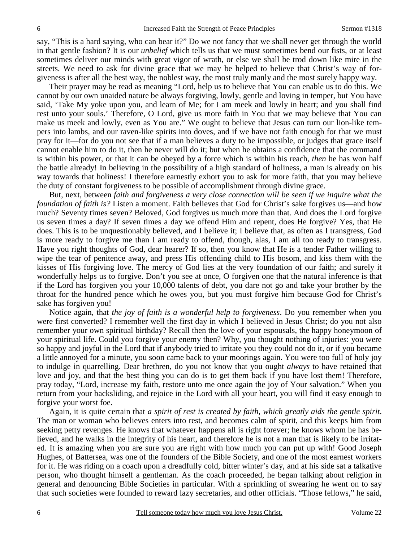say, "This is a hard saying, who can bear it?" Do we not fancy that we shall never get through the world in that gentle fashion? It is our *unbelief* which tells us that we must sometimes bend our fists, or at least sometimes deliver our minds with great vigor of wrath, or else we shall be trod down like mire in the streets. We need to ask for divine grace that we may be helped to believe that Christ's way of forgiveness is after all the best way, the noblest way, the most truly manly and the most surely happy way.

 Their prayer may be read as meaning "Lord, help us to believe that You can enable us to do this. We cannot by our own unaided nature be always forgiving, lowly, gentle and loving in temper, but You have said, 'Take My yoke upon you, and learn of Me; for I am meek and lowly in heart; and you shall find rest unto your souls.' Therefore, O Lord, give us more faith in You that we may believe that You can make us meek and lowly, even as You are." We ought to believe that Jesus can turn our lion-like tempers into lambs, and our raven-like spirits into doves, and if we have not faith enough for that we must pray for it—for do you not see that if a man believes a duty to be impossible, or judges that grace itself cannot enable him to do it, then he never will do it; but when he obtains a confidence that the command is within his power, or that it can be obeyed by a force which is within his reach, *then* he has won half the battle already! In believing in the possibility of a high standard of holiness, a man is already on his way towards that holiness! I therefore earnestly exhort you to ask for more faith, that you may believe the duty of constant forgiveness to be possible of accomplishment through divine grace.

 But, next, between *faith and forgiveness a very close connection will be seen if we inquire what the foundation of faith is?* Listen a moment. Faith believes that God for Christ's sake forgives us—and how much? Seventy times seven? Beloved, God forgives us much more than that. And does the Lord forgive us seven times a day? If seven times a day we offend Him and repent, does He forgive? Yes, that He does. This is to be unquestionably believed, and I believe it; I believe that, as often as I transgress, God is more ready to forgive me than I am ready to offend, though, alas, I am all too ready to transgress. Have you right thoughts of God, dear hearer? If so, then you know that He is a tender Father willing to wipe the tear of penitence away, and press His offending child to His bosom, and kiss them with the kisses of His forgiving love. The mercy of God lies at the very foundation of our faith; and surely it wonderfully helps us to forgive. Don't you see at once, O forgiven one that the natural inference is that if the Lord has forgiven you your 10,000 talents of debt, you dare not go and take your brother by the throat for the hundred pence which he owes you, but you must forgive him because God for Christ's sake has forgiven you!

 Notice again, that *the joy of faith is a wonderful help to forgiveness*. Do you remember when you were first converted? I remember well the first day in which I believed in Jesus Christ; do you not also remember your own spiritual birthday? Recall then the love of your espousals, the happy honeymoon of your spiritual life. Could you forgive your enemy then? Why, you thought nothing of injuries: you were so happy and joyful in the Lord that if anybody tried to irritate you they could not do it, or if you became a little annoyed for a minute, you soon came back to your moorings again. You were too full of holy joy to indulge in quarrelling. Dear brethren, do you not know that you ought *always* to have retained that love and joy, and that the best thing you can do is to get them back if you have lost them! Therefore, pray today, "Lord, increase my faith, restore unto me once again the joy of Your salvation." When you return from your backsliding, and rejoice in the Lord with all your heart, you will find it easy enough to forgive your worst foe.

 Again, it is quite certain that *a spirit of rest is created by faith, which greatly aids the gentle spirit*. The man or woman who believes enters into rest, and becomes calm of spirit, and this keeps him from seeking petty revenges. He knows that whatever happens all is right forever; he knows whom he has believed, and he walks in the integrity of his heart, and therefore he is not a man that is likely to be irritated. It is amazing when you are sure you are right with how much you can put up with! Good Joseph Hughes, of Battersea, was one of the founders of the Bible Society, and one of the most earnest workers for it. He was riding on a coach upon a dreadfully cold, bitter winter's day, and at his side sat a talkative person, who thought himself a gentleman. As the coach proceeded, he began talking about religion in general and denouncing Bible Societies in particular. With a sprinkling of swearing he went on to say that such societies were founded to reward lazy secretaries, and other officials. "Those fellows," he said,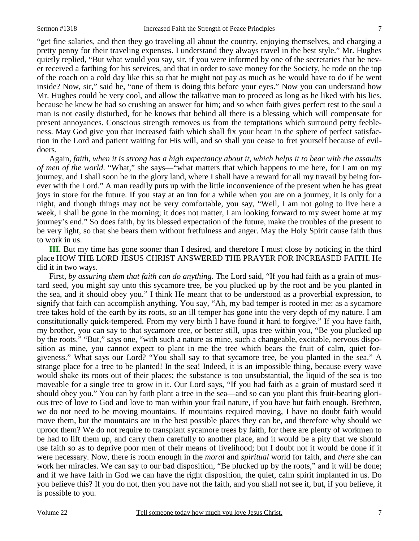"get fine salaries, and then they go traveling all about the country, enjoying themselves, and charging a pretty penny for their traveling expenses. I understand they always travel in the best style." Mr. Hughes quietly replied, "But what would you say, sir, if you were informed by one of the secretaries that he never received a farthing for his services, and that in order to save money for the Society, he rode on the top of the coach on a cold day like this so that he might not pay as much as he would have to do if he went inside? Now, sir," said he, "one of them is doing this before your eyes." Now you can understand how Mr. Hughes could be very cool, and allow the talkative man to proceed as long as he liked with his lies, because he knew he had so crushing an answer for him; and so when faith gives perfect rest to the soul a man is not easily disturbed, for he knows that behind all there is a blessing which will compensate for present annoyances. Conscious strength removes us from the temptations which surround petty feebleness. May God give you that increased faith which shall fix your heart in the sphere of perfect satisfaction in the Lord and patient waiting for His will, and so shall you cease to fret yourself because of evildoers.

 Again, *faith, when it is strong has a high expectancy about it, which helps it to bear with the assaults of men of the world*. "What," she says—"what matters that which happens to me here, for I am on my journey, and I shall soon be in the glory land, where I shall have a reward for all my travail by being forever with the Lord." A man readily puts up with the little inconvenience of the present when he has great joys in store for the future. If you stay at an inn for a while when you are on a journey, it is only for a night, and though things may not be very comfortable, you say, "Well, I am not going to live here a week, I shall be gone in the morning; it does not matter, I am looking forward to my sweet home at my journey's end." So does faith, by its blessed expectation of the future, make the troubles of the present to be very light, so that she bears them without fretfulness and anger. May the Holy Spirit cause faith thus to work in us.

**III.** But my time has gone sooner than I desired, and therefore I must close by noticing in the third place HOW THE LORD JESUS CHRIST ANSWERED THE PRAYER FOR INCREASED FAITH. He did it in two ways.

 First, *by assuring them that faith can do anything*. The Lord said, "If you had faith as a grain of mustard seed, you might say unto this sycamore tree, be you plucked up by the root and be you planted in the sea, and it should obey you." I think He meant that to be understood as a proverbial expression, to signify that faith can accomplish anything. You say, "Ah, my bad temper is rooted in me: as a sycamore tree takes hold of the earth by its roots, so an ill temper has gone into the very depth of my nature. I am constitutionally quick-tempered. From my very birth I have found it hard to forgive." If you have faith, my brother, you can say to that sycamore tree, or better still, upas tree within you, "Be you plucked up by the roots." "But," says one, "with such a nature as mine, such a changeable, excitable, nervous disposition as mine, you cannot expect to plant in me the tree which bears the fruit of calm, quiet forgiveness." What says our Lord? "You shall say to that sycamore tree, be you planted in the sea." A strange place for a tree to be planted! In the sea! Indeed, it is an impossible thing, because every wave would shake its roots out of their places; the substance is too unsubstantial, the liquid of the sea is too moveable for a single tree to grow in it. Our Lord says, "If you had faith as a grain of mustard seed it should obey you." You can by faith plant a tree in the sea—and so can you plant this fruit-bearing glorious tree of love to God and love to man within your frail nature, if you have but faith enough. Brethren, we do not need to be moving mountains. If mountains required moving, I have no doubt faith would move them, but the mountains are in the best possible places they can be, and therefore why should we uproot them? We do not require to transplant sycamore trees by faith, for there are plenty of workmen to be had to lift them up, and carry them carefully to another place, and it would be a pity that we should use faith so as to deprive poor men of their means of livelihood; but I doubt not it would be done if it were necessary. Now, there is room enough in the *moral* and *spiritual* world for faith, and *there* she can work her miracles. We can say to our bad disposition, "Be plucked up by the roots," and it will be done; and if we have faith in God we can have the right disposition, the quiet, calm spirit implanted in us. Do you believe this? If you do not, then you have not the faith, and you shall not see it, but, if you believe, it is possible to you.